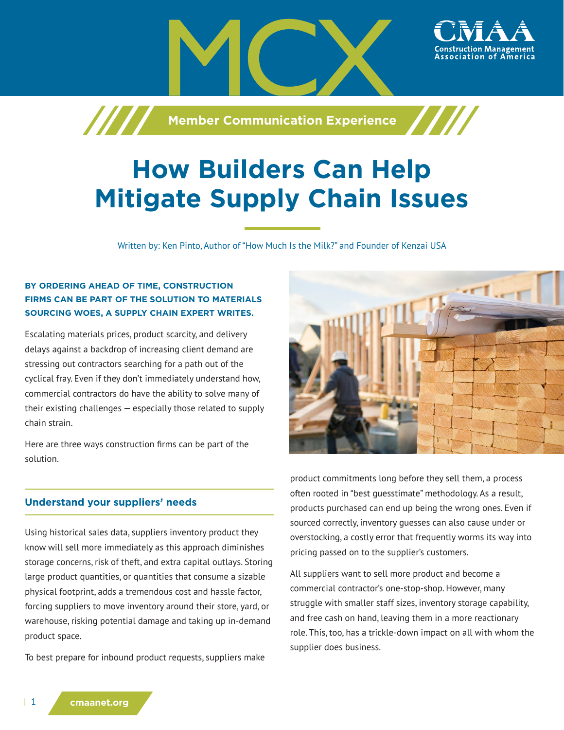

# **How Builders Can Help Mitigate Supply Chain Issues**

Written by: Ken Pinto, Author of "How Much Is the Milk?" and Founder of Kenzai USA

## **BY ORDERING AHEAD OF TIME, CONSTRUCTION FIRMS CAN BE PART OF THE SOLUTION TO MATERIALS SOURCING WOES, A SUPPLY CHAIN EXPERT WRITES.**

Escalating materials prices, product scarcity, and delivery delays against a backdrop of increasing client demand are stressing out contractors searching for a path out of the cyclical fray. Even if they don't immediately understand how, commercial contractors do have the ability to solve many of their existing challenges — especially those related to supply chain strain.

Here are three ways construction firms can be part of the solution.

#### **Understand your suppliers' needs**

Using historical sales data, suppliers inventory product they know will sell more immediately as this approach diminishes storage concerns, risk of theft, and extra capital outlays. Storing large product quantities, or quantities that consume a sizable physical footprint, adds a tremendous cost and hassle factor, forcing suppliers to move inventory around their store, yard, or warehouse, risking potential damage and taking up in-demand product space.

To best prepare for inbound product requests, suppliers make



product commitments long before they sell them, a process often rooted in "best guesstimate" methodology. As a result, products purchased can end up being the wrong ones. Even if sourced correctly, inventory guesses can also cause under or overstocking, a costly error that frequently worms its way into pricing passed on to the supplier's customers.

All suppliers want to sell more product and become a commercial contractor's one-stop-shop. However, many struggle with smaller staff sizes, inventory storage capability, and free cash on hand, leaving them in a more reactionary role. This, too, has a trickle-down impact on all with whom the supplier does business.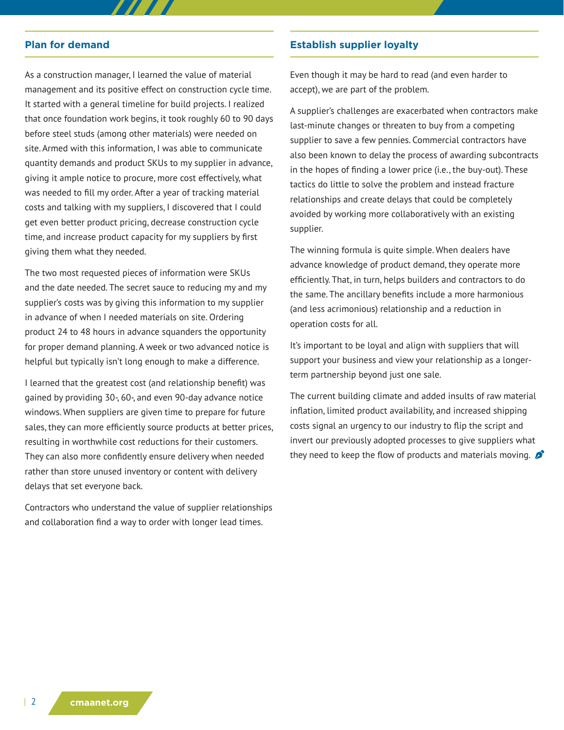#### **Plan for demand**

As a construction manager, I learned the value of material management and its positive effect on construction cycle time. It started with a general timeline for build projects. I realized that once foundation work begins, it took roughly 60 to 90 days before steel studs (among other materials) were needed on site. Armed with this information, I was able to communicate quantity demands and product SKUs to my supplier in advance, giving it ample notice to procure, more cost effectively, what was needed to fill my order. After a year of tracking material costs and talking with my suppliers, I discovered that I could get even better product pricing, decrease construction cycle time, and increase product capacity for my suppliers by first giving them what they needed.

 $\boldsymbol{H}$ 

The two most requested pieces of information were SKUs and the date needed. The secret sauce to reducing my and my supplier's costs was by giving this information to my supplier in advance of when I needed materials on site. Ordering product 24 to 48 hours in advance squanders the opportunity for proper demand planning. A week or two advanced notice is helpful but typically isn't long enough to make a difference.

I learned that the greatest cost (and relationship benefit) was gained by providing 30-, 60-, and even 90-day advance notice windows. When suppliers are given time to prepare for future sales, they can more efficiently source products at better prices, resulting in worthwhile cost reductions for their customers. They can also more confidently ensure delivery when needed rather than store unused inventory or content with delivery delays that set everyone back.

Contractors who understand the value of supplier relationships and collaboration find a way to order with longer lead times.

### **Establish supplier loyalty**

Even though it may be hard to read (and even harder to accept), we are part of the problem.

A supplier's challenges are exacerbated when contractors make last-minute changes or threaten to buy from a competing supplier to save a few pennies. Commercial contractors have also been known to delay the process of awarding subcontracts in the hopes of finding a lower price (i.e., the buy-out). These tactics do little to solve the problem and instead fracture relationships and create delays that could be completely avoided by working more collaboratively with an existing supplier.

The winning formula is quite simple. When dealers have advance knowledge of product demand, they operate more efficiently. That, in turn, helps builders and contractors to do the same. The ancillary benefits include a more harmonious (and less acrimonious) relationship and a reduction in operation costs for all.

It's important to be loyal and align with suppliers that will support your business and view your relationship as a longerterm partnership beyond just one sale.

The current building climate and added insults of raw material inflation, limited product availability, and increased shipping costs signal an urgency to our industry to flip the script and invert our previously adopted processes to give suppliers what they need to keep the flow of products and materials moving.  $\mathcal{L}$